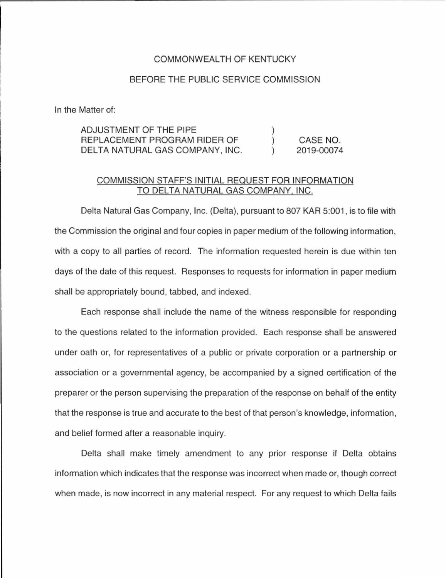## COMMONWEALTH OF KENTUCKY

## BEFORE THE PUBLIC SERVICE COMMISSION

In the Matter of:

| ADJUSTMENT OF THE PIPE          |            |
|---------------------------------|------------|
| REPLACEMENT PROGRAM RIDER OF    | CASE NO.   |
| DELTA NATURAL GAS COMPANY, INC. | 2019-00074 |

## COMMISSION STAFF'S INITIAL REQUEST FOR INFORMATION TO DELTA NATURAL GAS COMPANY, INC.

Delta Natural Gas Company, Inc. (Delta), pursuant to 807 KAR 5:001 , is to file with the Commission the original and four copies in paper medium of the following information, with a copy to all parties of record. The information requested herein is due within ten days of the date of this request. Responses to requests for information in paper medium shall be appropriately bound, tabbed, and indexed.

Each response shall include the name of the witness responsible for responding to the questions related to the information provided. Each response shall be answered under oath or, for representatives of a public or private corporation or a partnership or association or a governmental agency, be accompanied by a signed certification of the preparer or the person supervising the preparation of the response on behalf of the entity that the response is true and accurate to the best of that person's knowledge, information, and belief formed after a reasonable inquiry.

Delta shall make timely amendment to any prior response if Delta obtains information which indicates that the response was incorrect when made or, though correct when made, is now incorrect in any material respect. For any request to which Delta fails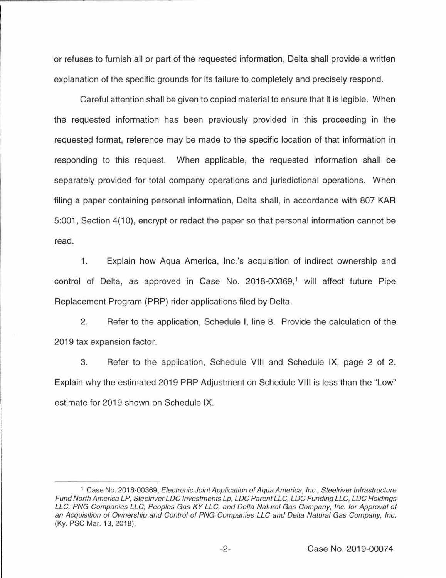or refuses to furnish all or part of the requested information, Delta shall provide a written explanation of the specific grounds for its failure to completely and precisely respond.

Careful attention shall be given to copied material to ensure that it is legible. When the requested information has been previously provided in this proceeding in the requested format, reference may be made to the specific location of that information in responding to this request. When applicable, the requested information shall be separately provided for total company operations and jurisdictional operations. When filing a paper containing personal information, Delta shall, in accordance with 807 KAR 5:001 , Section 4(10), encrypt or redact the paper so that personal information cannot be read.

1. Explain how Aqua America, lnc.'s acquisition of indirect ownership and control of Delta, as approved in Case No. 2018-00369,<sup>1</sup> will affect future Pipe Replacement Program (PRP) rider applications filed by Delta.

2. Refer to the application, Schedule I, line 8. Provide the calculation of the 2019 tax expansion factor.

3. Refer to the application, Schedule VIII and Schedule IX, page 2 of 2. Explain why the estimated 2019 PRP Adjustment on Schedule VIII is less than the "Low" estimate for 2019 shown on Schedule IX.

<sup>&</sup>lt;sup>1</sup> Case No. 2018-00369, Electronic Joint Application of Aqua America, Inc., Steelriver Infrastructure Fund North America LP, Steelriver LDC Investments Lp, LDC Parent LLC, LDC Funding LLC, LDC Holdings LLC, PNG Companies LLC, Peoples Gas KY LLC, and Delta Natural Gas Company, Inc. for Approval of an Acquisition of Ownership and Control of PNG Companies LLC and Delta Natural Gas Company, Inc. (Ky. PSC Mar. 13, 2018).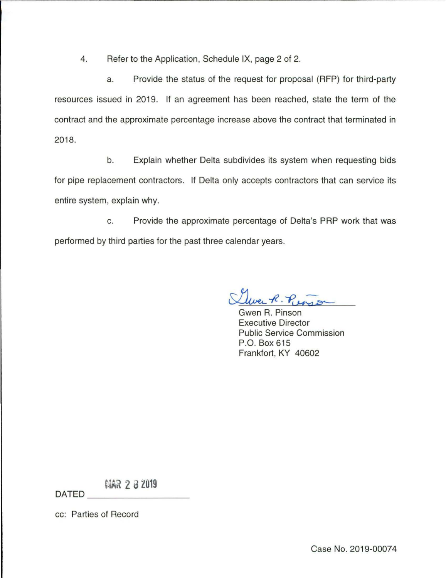4. Refer to the Application, Schedule IX, page 2 of 2.

a. Provide the status of the request for proposal (RFP) for third-party resources issued in 2019. If an agreement has been reached, state the term of the contract and the approximate percentage increase above the contract that terminated in 2018.

b. Explain whether Delta subdivides its system when requesting bids for pipe replacement contractors. If Delta only accepts contractors that can service its entire system, explain why.

c. Provide the approximate percentage of Delta's PAP work that was performed by third parties for the past three calendar years.

Uwee R. Punsi

Executive Director Public Service Commission P.O. Box 615 Frankfort, KY 40602

**MAR 2 8 2019** 

cc: Parties of Record